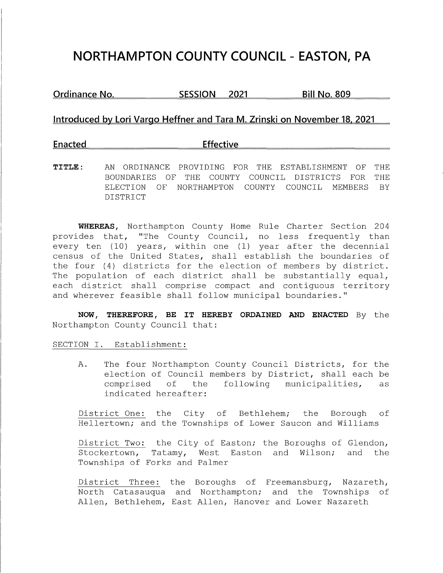# **NORTHAMPTON COUNTY COUNCIL - EASTON, PA**

**Ordinance No. SESSION 2021 Bill No. 809** 

### **Introduced by Lori Vargo Heffner and Tara M. Zrinski on November 18, 2021**

## **Enacted** Effective

**TITLE:** AN ORDINANCE PROVIDING FOR THE ESTABLISHMENT OF THE BOUNDARIES OF THE COUNTY COUNCIL DISTRICTS FOR THE ELECTION OF NORTHAMPTON COUNTY COUNCIL MEMBERS BY DISTRICT

**WHEREAS,** Northampton County Home Rule Charter Section 204 provides that, "The County Council, no less frequently than every ten (10) years, within one (1) year after the decennial census of the United States, shall establish the boundaries of the four (4) districts for the election of members by district. The population of each district shall be substantially equal, each district shall comprise compact and contiguous territory and wherever feasible shall follow municipal boundaries."

**NOW, THEREFORE, BE IT HEREBY ORDAINED AND ENACTED** By the Northampton County Council that:

SECTION I. Establishment:

A. The four Northampton County Council Districts, for the election of Council members by District, shall each be comprised of the following municipalities, as indicated hereafter:

District One: the City of Bethlehem; the Borough of Hellertown; and the Townships of Lower Saucon and Williams

District Two: the City of Easton; the Boroughs of Glendon, Stockertown, Tatamy, West Easton and Wilson; and the Townships of Forks and Palmer

District Three: the Boroughs of Freemansburg, Nazareth, North Catasauqua and Northampton; and the Townships of Allen, Bethlehem, East Allen, Hanover and Lower Nazareth